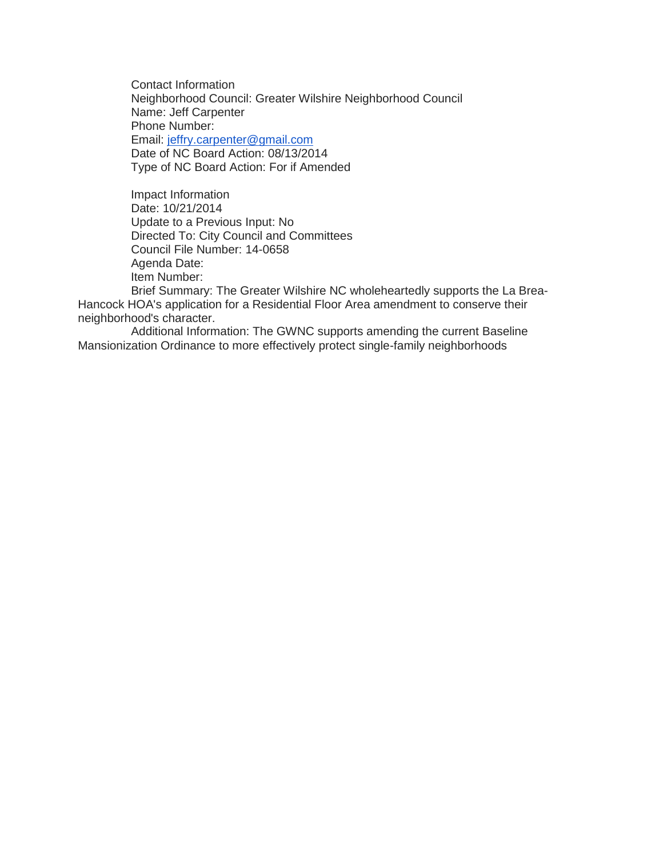Contact Information Neighborhood Council: Greater Wilshire Neighborhood Council Name: Jeff Carpenter Phone Number: Email: [jeffry.carpenter@gmail.com](mailto:jeffry.carpenter@gmail.com) Date of NC Board Action: 08/13/2014 Type of NC Board Action: For if Amended

Impact Information Date: 10/21/2014 Update to a Previous Input: No Directed To: City Council and Committees Council File Number: 14-0658 Agenda Date: Item Number:

Brief Summary: The Greater Wilshire NC wholeheartedly supports the La Brea-Hancock HOA's application for a Residential Floor Area amendment to conserve their neighborhood's character.

Additional Information: The GWNC supports amending the current Baseline Mansionization Ordinance to more effectively protect single-family neighborhoods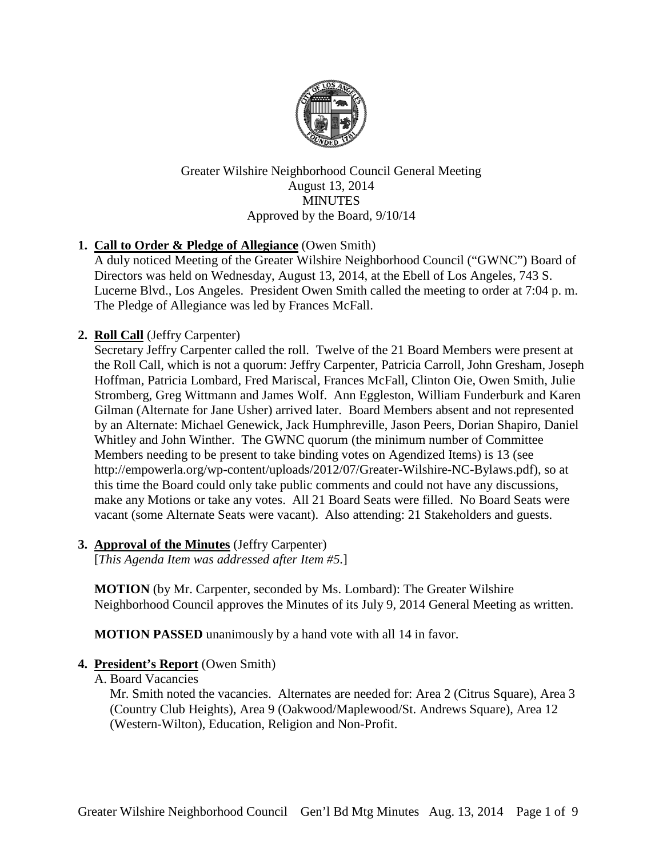

Greater Wilshire Neighborhood Council General Meeting August 13, 2014 **MINUTES** Approved by the Board, 9/10/14

# **1. Call to Order & Pledge of Allegiance** (Owen Smith)

A duly noticed Meeting of the Greater Wilshire Neighborhood Council ("GWNC") Board of Directors was held on Wednesday, August 13, 2014, at the Ebell of Los Angeles, 743 S. Lucerne Blvd., Los Angeles. President Owen Smith called the meeting to order at 7:04 p. m. The Pledge of Allegiance was led by Frances McFall.

# **2. Roll Call** (Jeffry Carpenter)

Secretary Jeffry Carpenter called the roll. Twelve of the 21 Board Members were present at the Roll Call, which is not a quorum: Jeffry Carpenter, Patricia Carroll, John Gresham, Joseph Hoffman, Patricia Lombard, Fred Mariscal, Frances McFall, Clinton Oie, Owen Smith, Julie Stromberg, Greg Wittmann and James Wolf. Ann Eggleston, William Funderburk and Karen Gilman (Alternate for Jane Usher) arrived later. Board Members absent and not represented by an Alternate: Michael Genewick, Jack Humphreville, Jason Peers, Dorian Shapiro, Daniel Whitley and John Winther. The GWNC quorum (the minimum number of Committee Members needing to be present to take binding votes on Agendized Items) is 13 (see http://empowerla.org/wp-content/uploads/2012/07/Greater-Wilshire-NC-Bylaws.pdf), so at this time the Board could only take public comments and could not have any discussions, make any Motions or take any votes. All 21 Board Seats were filled. No Board Seats were vacant (some Alternate Seats were vacant). Also attending: 21 Stakeholders and guests.

# **3. Approval of the Minutes** (Jeffry Carpenter)

[*This Agenda Item was addressed after Item #5.*]

**MOTION** (by Mr. Carpenter, seconded by Ms. Lombard): The Greater Wilshire Neighborhood Council approves the Minutes of its July 9, 2014 General Meeting as written.

**MOTION PASSED** unanimously by a hand vote with all 14 in favor.

# **4. President's Report** (Owen Smith)

A. Board Vacancies

Mr. Smith noted the vacancies. Alternates are needed for: Area 2 (Citrus Square), Area 3 (Country Club Heights), Area 9 (Oakwood/Maplewood/St. Andrews Square), Area 12 (Western-Wilton), Education, Religion and Non-Profit.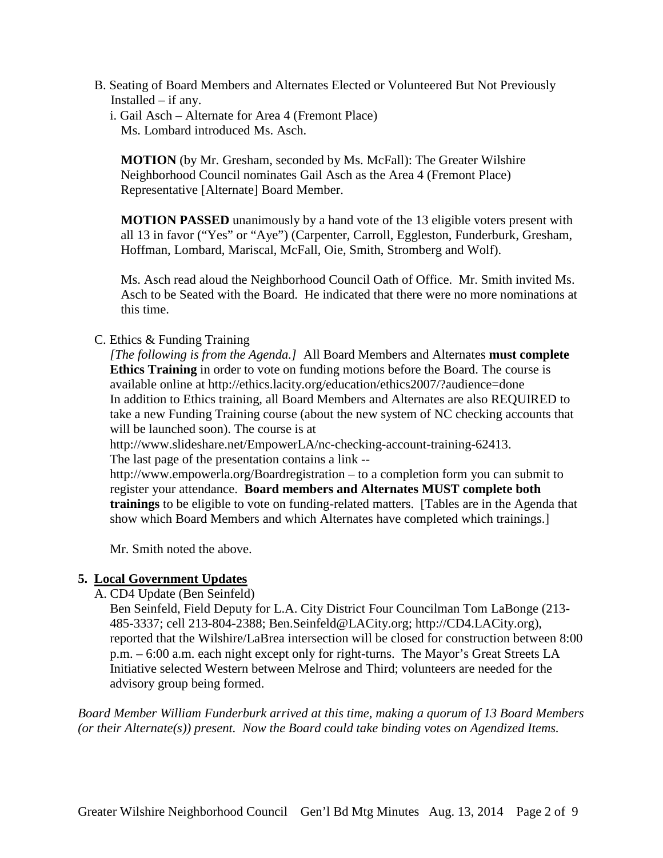- B. Seating of Board Members and Alternates Elected or Volunteered But Not Previously Installed – if any.
	- i. Gail Asch Alternate for Area 4 (Fremont Place) Ms. Lombard introduced Ms. Asch.

**MOTION** (by Mr. Gresham, seconded by Ms. McFall): The Greater Wilshire Neighborhood Council nominates Gail Asch as the Area 4 (Fremont Place) Representative [Alternate] Board Member.

**MOTION PASSED** unanimously by a hand vote of the 13 eligible voters present with all 13 in favor ("Yes" or "Aye") (Carpenter, Carroll, Eggleston, Funderburk, Gresham, Hoffman, Lombard, Mariscal, McFall, Oie, Smith, Stromberg and Wolf).

Ms. Asch read aloud the Neighborhood Council Oath of Office. Mr. Smith invited Ms. Asch to be Seated with the Board. He indicated that there were no more nominations at this time.

## C. Ethics & Funding Training

*[The following is from the Agenda.]* All Board Members and Alternates **must complete Ethics Training** in order to vote on funding motions before the Board. The course is available online at http://ethics.lacity.org/education/ethics2007/?audience=done In addition to Ethics training, all Board Members and Alternates are also REQUIRED to take a new Funding Training course (about the new system of NC checking accounts that will be launched soon). The course is at

http://www.slideshare.net/EmpowerLA/nc-checking-account-training-62413. The last page of the presentation contains a link --

http://www.empowerla.org/Boardregistration – to a completion form you can submit to register your attendance. **Board members and Alternates MUST complete both trainings** to be eligible to vote on funding-related matters. [Tables are in the Agenda that show which Board Members and which Alternates have completed which trainings.]

Mr. Smith noted the above.

# **5. Local Government Updates**

A. CD4 Update (Ben Seinfeld)

Ben Seinfeld, Field Deputy for L.A. City District Four Councilman Tom LaBonge (213- 485-3337; cell 213-804-2388; Ben.Seinfeld@LACity.org; http://CD4.LACity.org), reported that the Wilshire/LaBrea intersection will be closed for construction between 8:00 p.m. – 6:00 a.m. each night except only for right-turns. The Mayor's Great Streets LA Initiative selected Western between Melrose and Third; volunteers are needed for the advisory group being formed.

*Board Member William Funderburk arrived at this time, making a quorum of 13 Board Members (or their Alternate(s)) present. Now the Board could take binding votes on Agendized Items.*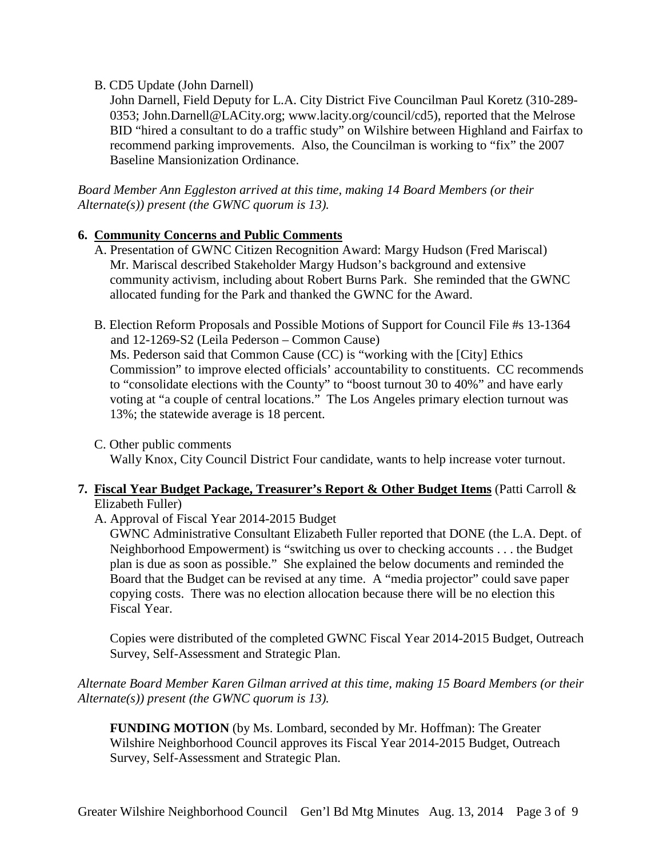### B. CD5 Update (John Darnell)

John Darnell, Field Deputy for L.A. City District Five Councilman Paul Koretz (310-289- 0353; John.Darnell@LACity.org; www.lacity.org/council/cd5), reported that the Melrose BID "hired a consultant to do a traffic study" on Wilshire between Highland and Fairfax to recommend parking improvements. Also, the Councilman is working to "fix" the 2007 Baseline Mansionization Ordinance.

*Board Member Ann Eggleston arrived at this time, making 14 Board Members (or their Alternate(s)) present (the GWNC quorum is 13).*

## **6. Community Concerns and Public Comments**

- A. Presentation of GWNC Citizen Recognition Award: Margy Hudson (Fred Mariscal) Mr. Mariscal described Stakeholder Margy Hudson's background and extensive community activism, including about Robert Burns Park. She reminded that the GWNC allocated funding for the Park and thanked the GWNC for the Award.
- B. Election Reform Proposals and Possible Motions of Support for Council File #s 13-1364 and 12-1269-S2 (Leila Pederson – Common Cause) Ms. Pederson said that Common Cause (CC) is "working with the [City] Ethics Commission" to improve elected officials' accountability to constituents. CC recommends to "consolidate elections with the County" to "boost turnout 30 to 40%" and have early voting at "a couple of central locations." The Los Angeles primary election turnout was 13%; the statewide average is 18 percent.

C. Other public comments Wally Knox, City Council District Four candidate, wants to help increase voter turnout.

## **7. Fiscal Year Budget Package, Treasurer's Report & Other Budget Items** (Patti Carroll & Elizabeth Fuller)

A. Approval of Fiscal Year 2014-2015 Budget

GWNC Administrative Consultant Elizabeth Fuller reported that DONE (the L.A. Dept. of Neighborhood Empowerment) is "switching us over to checking accounts . . . the Budget plan is due as soon as possible." She explained the below documents and reminded the Board that the Budget can be revised at any time. A "media projector" could save paper copying costs. There was no election allocation because there will be no election this Fiscal Year.

Copies were distributed of the completed GWNC Fiscal Year 2014-2015 Budget, Outreach Survey, Self-Assessment and Strategic Plan.

*Alternate Board Member Karen Gilman arrived at this time, making 15 Board Members (or their Alternate(s)) present (the GWNC quorum is 13).*

**FUNDING MOTION** (by Ms. Lombard, seconded by Mr. Hoffman): The Greater Wilshire Neighborhood Council approves its Fiscal Year 2014-2015 Budget, Outreach Survey, Self-Assessment and Strategic Plan.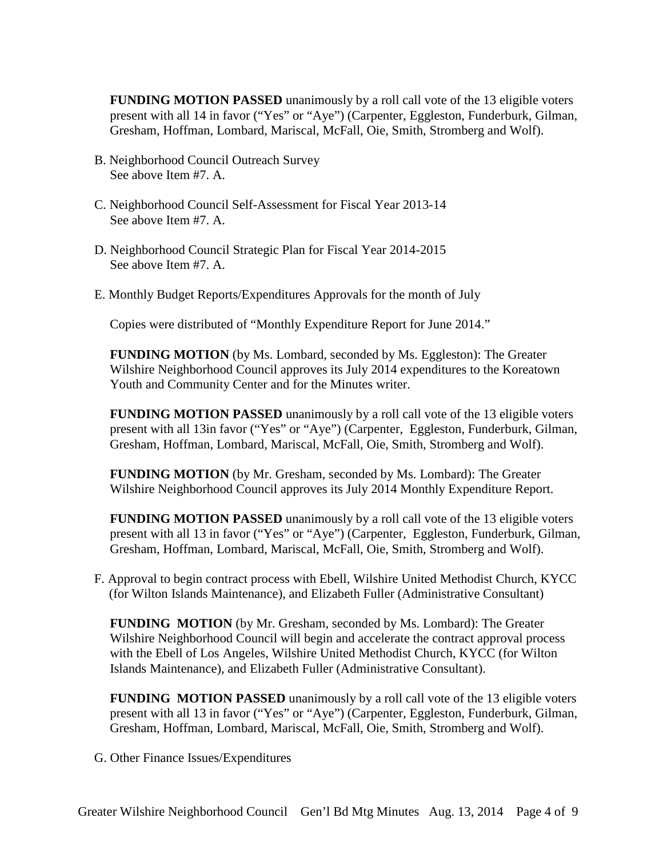**FUNDING MOTION PASSED** unanimously by a roll call vote of the 13 eligible voters present with all 14 in favor ("Yes" or "Aye") (Carpenter, Eggleston, Funderburk, Gilman, Gresham, Hoffman, Lombard, Mariscal, McFall, Oie, Smith, Stromberg and Wolf).

- B. Neighborhood Council Outreach Survey See above Item #7. A.
- C. Neighborhood Council Self-Assessment for Fiscal Year 2013-14 See above Item #7. A.
- D. Neighborhood Council Strategic Plan for Fiscal Year 2014-2015 See above Item #7. A.
- E. Monthly Budget Reports/Expenditures Approvals for the month of July

Copies were distributed of "Monthly Expenditure Report for June 2014."

**FUNDING MOTION** (by Ms. Lombard, seconded by Ms. Eggleston): The Greater Wilshire Neighborhood Council approves its July 2014 expenditures to the Koreatown Youth and Community Center and for the Minutes writer.

**FUNDING MOTION PASSED** unanimously by a roll call vote of the 13 eligible voters present with all 13in favor ("Yes" or "Aye") (Carpenter, Eggleston, Funderburk, Gilman, Gresham, Hoffman, Lombard, Mariscal, McFall, Oie, Smith, Stromberg and Wolf).

**FUNDING MOTION** (by Mr. Gresham, seconded by Ms. Lombard): The Greater Wilshire Neighborhood Council approves its July 2014 Monthly Expenditure Report.

**FUNDING MOTION PASSED** unanimously by a roll call vote of the 13 eligible voters present with all 13 in favor ("Yes" or "Aye") (Carpenter, Eggleston, Funderburk, Gilman, Gresham, Hoffman, Lombard, Mariscal, McFall, Oie, Smith, Stromberg and Wolf).

F. Approval to begin contract process with Ebell, Wilshire United Methodist Church, KYCC (for Wilton Islands Maintenance), and Elizabeth Fuller (Administrative Consultant)

**FUNDING MOTION** (by Mr. Gresham, seconded by Ms. Lombard): The Greater Wilshire Neighborhood Council will begin and accelerate the contract approval process with the Ebell of Los Angeles, Wilshire United Methodist Church, KYCC (for Wilton Islands Maintenance), and Elizabeth Fuller (Administrative Consultant).

**FUNDING MOTION PASSED** unanimously by a roll call vote of the 13 eligible voters present with all 13 in favor ("Yes" or "Aye") (Carpenter, Eggleston, Funderburk, Gilman, Gresham, Hoffman, Lombard, Mariscal, McFall, Oie, Smith, Stromberg and Wolf).

G. Other Finance Issues/Expenditures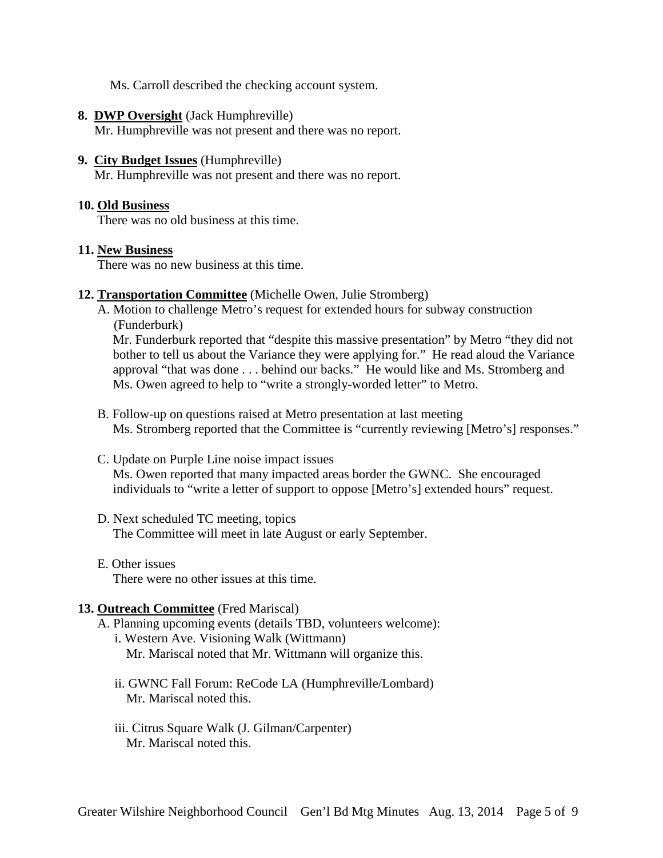Ms. Carroll described the checking account system.

#### **8. DWP Oversight** (Jack Humphreville)

Mr. Humphreville was not present and there was no report.

#### **9. City Budget Issues** (Humphreville)

Mr. Humphreville was not present and there was no report.

#### **10. Old Business**

There was no old business at this time.

#### **11. New Business**

There was no new business at this time.

#### **12. Transportation Committee** (Michelle Owen, Julie Stromberg)

A. Motion to challenge Metro's request for extended hours for subway construction (Funderburk)

Mr. Funderburk reported that "despite this massive presentation" by Metro "they did not bother to tell us about the Variance they were applying for." He read aloud the Variance approval "that was done . . . behind our backs." He would like and Ms. Stromberg and Ms. Owen agreed to help to "write a strongly-worded letter" to Metro.

- B. Follow-up on questions raised at Metro presentation at last meeting Ms. Stromberg reported that the Committee is "currently reviewing [Metro's] responses."
- C. Update on Purple Line noise impact issues Ms. Owen reported that many impacted areas border the GWNC. She encouraged individuals to "write a letter of support to oppose [Metro's] extended hours" request.
- D. Next scheduled TC meeting, topics The Committee will meet in late August or early September.
- E. Other issues There were no other issues at this time.

### **13. Outreach Committee** (Fred Mariscal)

- A. Planning upcoming events (details TBD, volunteers welcome): i. Western Ave. Visioning Walk (Wittmann) Mr. Mariscal noted that Mr. Wittmann will organize this.
	- ii. GWNC Fall Forum: ReCode LA (Humphreville/Lombard) Mr. Mariscal noted this.
	- iii. Citrus Square Walk (J. Gilman/Carpenter) Mr. Mariscal noted this.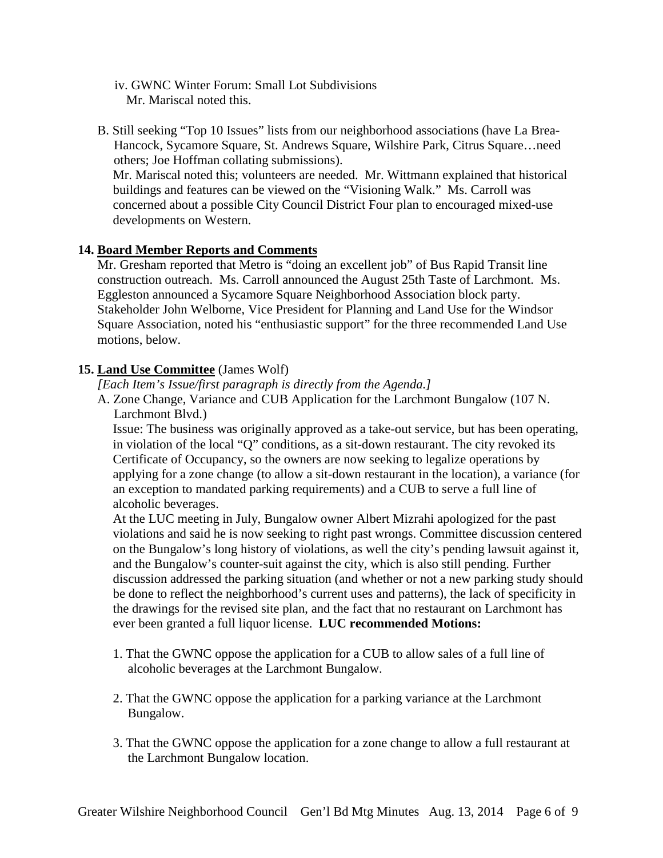- iv. GWNC Winter Forum: Small Lot Subdivisions Mr. Mariscal noted this.
- B. Still seeking "Top 10 Issues" lists from our neighborhood associations (have La Brea-Hancock, Sycamore Square, St. Andrews Square, Wilshire Park, Citrus Square…need others; Joe Hoffman collating submissions).

Mr. Mariscal noted this; volunteers are needed. Mr. Wittmann explained that historical buildings and features can be viewed on the "Visioning Walk." Ms. Carroll was concerned about a possible City Council District Four plan to encouraged mixed-use developments on Western.

## **14. Board Member Reports and Comments**

Mr. Gresham reported that Metro is "doing an excellent job" of Bus Rapid Transit line construction outreach. Ms. Carroll announced the August 25th Taste of Larchmont. Ms. Eggleston announced a Sycamore Square Neighborhood Association block party. Stakeholder John Welborne, Vice President for Planning and Land Use for the Windsor Square Association, noted his "enthusiastic support" for the three recommended Land Use motions, below.

## **15. Land Use Committee** (James Wolf)

*[Each Item's Issue/first paragraph is directly from the Agenda.]*

A. Zone Change, Variance and CUB Application for the Larchmont Bungalow (107 N. Larchmont Blvd.)

Issue: The business was originally approved as a take-out service, but has been operating, in violation of the local "Q" conditions, as a sit-down restaurant. The city revoked its Certificate of Occupancy, so the owners are now seeking to legalize operations by applying for a zone change (to allow a sit-down restaurant in the location), a variance (for an exception to mandated parking requirements) and a CUB to serve a full line of alcoholic beverages.

At the LUC meeting in July, Bungalow owner Albert Mizrahi apologized for the past violations and said he is now seeking to right past wrongs. Committee discussion centered on the Bungalow's long history of violations, as well the city's pending lawsuit against it, and the Bungalow's counter-suit against the city, which is also still pending. Further discussion addressed the parking situation (and whether or not a new parking study should be done to reflect the neighborhood's current uses and patterns), the lack of specificity in the drawings for the revised site plan, and the fact that no restaurant on Larchmont has ever been granted a full liquor license. **LUC recommended Motions:**

- 1. That the GWNC oppose the application for a CUB to allow sales of a full line of alcoholic beverages at the Larchmont Bungalow.
- 2. That the GWNC oppose the application for a parking variance at the Larchmont Bungalow.
- 3. That the GWNC oppose the application for a zone change to allow a full restaurant at the Larchmont Bungalow location.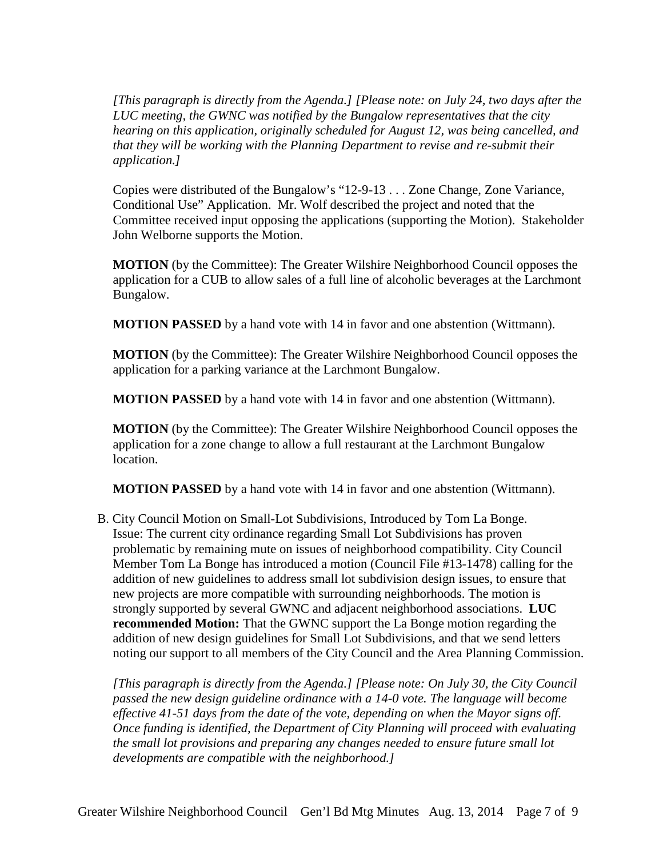*[This paragraph is directly from the Agenda.] [Please note: on July 24, two days after the LUC meeting, the GWNC was notified by the Bungalow representatives that the city hearing on this application, originally scheduled for August 12, was being cancelled, and that they will be working with the Planning Department to revise and re-submit their application.]*

Copies were distributed of the Bungalow's "12-9-13 . . . Zone Change, Zone Variance, Conditional Use" Application. Mr. Wolf described the project and noted that the Committee received input opposing the applications (supporting the Motion). Stakeholder John Welborne supports the Motion.

**MOTION** (by the Committee): The Greater Wilshire Neighborhood Council opposes the application for a CUB to allow sales of a full line of alcoholic beverages at the Larchmont Bungalow.

**MOTION PASSED** by a hand vote with 14 in favor and one abstention (Wittmann).

**MOTION** (by the Committee): The Greater Wilshire Neighborhood Council opposes the application for a parking variance at the Larchmont Bungalow.

**MOTION PASSED** by a hand vote with 14 in favor and one abstention (Wittmann).

**MOTION** (by the Committee): The Greater Wilshire Neighborhood Council opposes the application for a zone change to allow a full restaurant at the Larchmont Bungalow location.

**MOTION PASSED** by a hand vote with 14 in favor and one abstention (Wittmann).

B. City Council Motion on Small-Lot Subdivisions, Introduced by Tom La Bonge. Issue: The current city ordinance regarding Small Lot Subdivisions has proven problematic by remaining mute on issues of neighborhood compatibility. City Council Member Tom La Bonge has introduced a motion (Council File #13-1478) calling for the addition of new guidelines to address small lot subdivision design issues, to ensure that new projects are more compatible with surrounding neighborhoods. The motion is strongly supported by several GWNC and adjacent neighborhood associations. **LUC recommended Motion:** That the GWNC support the La Bonge motion regarding the addition of new design guidelines for Small Lot Subdivisions, and that we send letters noting our support to all members of the City Council and the Area Planning Commission.

*[This paragraph is directly from the Agenda.] [Please note: On July 30, the City Council passed the new design guideline ordinance with a 14-0 vote. The language will become effective 41-51 days from the date of the vote, depending on when the Mayor signs off. Once funding is identified, the Department of City Planning will proceed with evaluating the small lot provisions and preparing any changes needed to ensure future small lot developments are compatible with the neighborhood.]*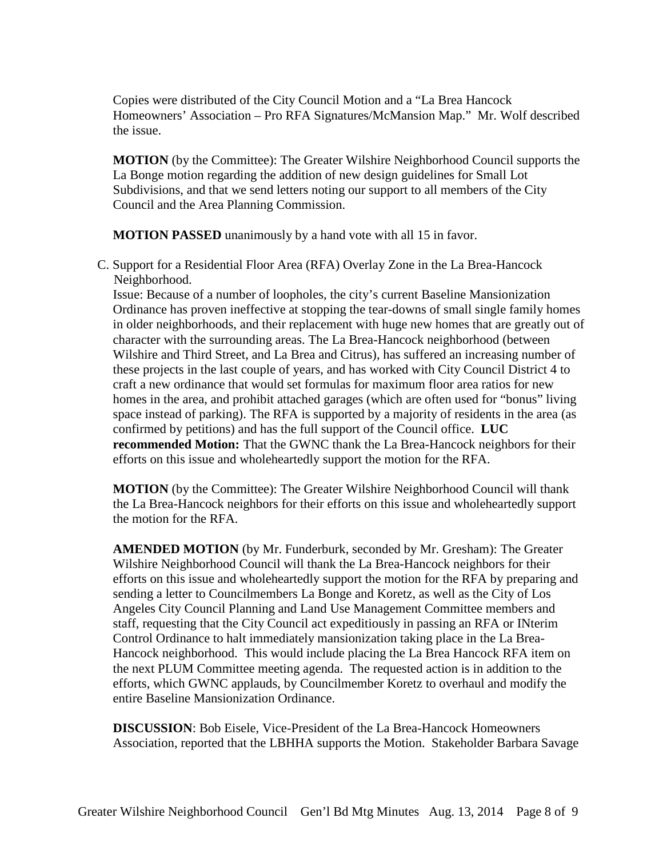Copies were distributed of the City Council Motion and a "La Brea Hancock Homeowners' Association – Pro RFA Signatures/McMansion Map." Mr. Wolf described the issue.

**MOTION** (by the Committee): The Greater Wilshire Neighborhood Council supports the La Bonge motion regarding the addition of new design guidelines for Small Lot Subdivisions, and that we send letters noting our support to all members of the City Council and the Area Planning Commission.

**MOTION PASSED** unanimously by a hand vote with all 15 in favor.

C. Support for a Residential Floor Area (RFA) Overlay Zone in the La Brea-Hancock Neighborhood.

Issue: Because of a number of loopholes, the city's current Baseline Mansionization Ordinance has proven ineffective at stopping the tear-downs of small single family homes in older neighborhoods, and their replacement with huge new homes that are greatly out of character with the surrounding areas. The La Brea-Hancock neighborhood (between Wilshire and Third Street, and La Brea and Citrus), has suffered an increasing number of these projects in the last couple of years, and has worked with City Council District 4 to craft a new ordinance that would set formulas for maximum floor area ratios for new homes in the area, and prohibit attached garages (which are often used for "bonus" living space instead of parking). The RFA is supported by a majority of residents in the area (as confirmed by petitions) and has the full support of the Council office. **LUC recommended Motion:** That the GWNC thank the La Brea-Hancock neighbors for their efforts on this issue and wholeheartedly support the motion for the RFA.

**MOTION** (by the Committee): The Greater Wilshire Neighborhood Council will thank the La Brea-Hancock neighbors for their efforts on this issue and wholeheartedly support the motion for the RFA.

**AMENDED MOTION** (by Mr. Funderburk, seconded by Mr. Gresham): The Greater Wilshire Neighborhood Council will thank the La Brea-Hancock neighbors for their efforts on this issue and wholeheartedly support the motion for the RFA by preparing and sending a letter to Councilmembers La Bonge and Koretz, as well as the City of Los Angeles City Council Planning and Land Use Management Committee members and staff, requesting that the City Council act expeditiously in passing an RFA or INterim Control Ordinance to halt immediately mansionization taking place in the La Brea-Hancock neighborhood. This would include placing the La Brea Hancock RFA item on the next PLUM Committee meeting agenda. The requested action is in addition to the efforts, which GWNC applauds, by Councilmember Koretz to overhaul and modify the entire Baseline Mansionization Ordinance.

**DISCUSSION**: Bob Eisele, Vice-President of the La Brea-Hancock Homeowners Association, reported that the LBHHA supports the Motion. Stakeholder Barbara Savage